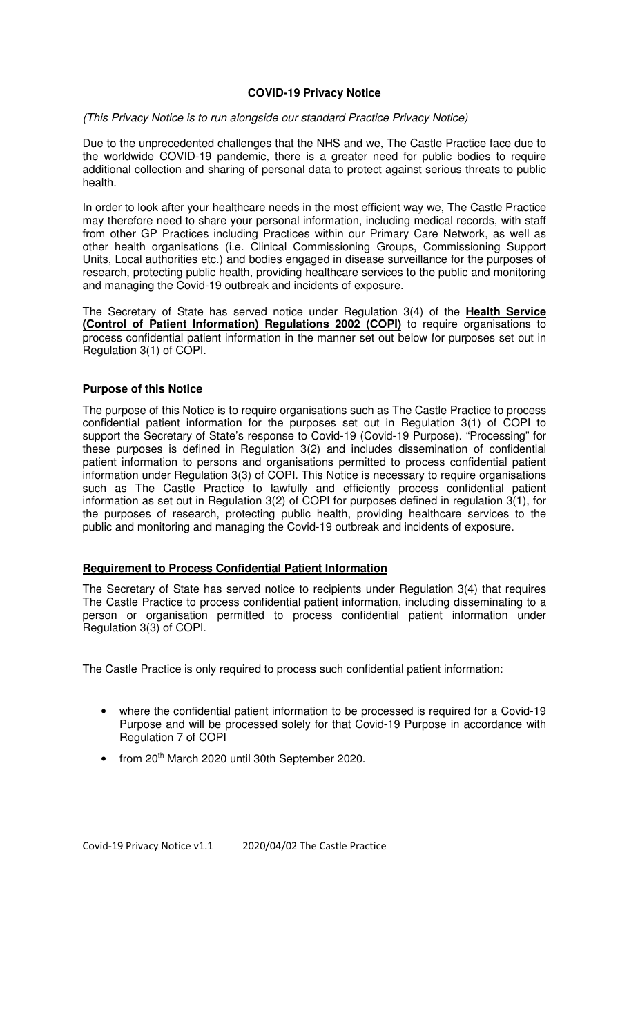#### **COVID-19 Privacy Notice**

#### (This Privacy Notice is to run alongside our standard Practice Privacy Notice)

Due to the unprecedented challenges that the NHS and we, The Castle Practice face due to the worldwide COVID-19 pandemic, there is a greater need for public bodies to require additional collection and sharing of personal data to protect against serious threats to public health.

In order to look after your healthcare needs in the most efficient way we, The Castle Practice may therefore need to share your personal information, including medical records, with staff from other GP Practices including Practices within our Primary Care Network, as well as other health organisations (i.e. Clinical Commissioning Groups, Commissioning Support Units, Local authorities etc.) and bodies engaged in disease surveillance for the purposes of research, protecting public health, providing healthcare services to the public and monitoring and managing the Covid-19 outbreak and incidents of exposure.

The Secretary of State has served notice under Regulation 3(4) of the **Health Service (Control of Patient Information) Regulations 2002 (COPI)** to require organisations to process confidential patient information in the manner set out below for purposes set out in Regulation 3(1) of COPI.

### **Purpose of this Notice**

The purpose of this Notice is to require organisations such as The Castle Practice to process confidential patient information for the purposes set out in Regulation 3(1) of COPI to support the Secretary of State's response to Covid-19 (Covid-19 Purpose). "Processing" for these purposes is defined in Regulation 3(2) and includes dissemination of confidential patient information to persons and organisations permitted to process confidential patient information under Regulation 3(3) of COPI. This Notice is necessary to require organisations such as The Castle Practice to lawfully and efficiently process confidential patient information as set out in Regulation 3(2) of COPI for purposes defined in regulation 3(1), for the purposes of research, protecting public health, providing healthcare services to the public and monitoring and managing the Covid-19 outbreak and incidents of exposure.

### **Requirement to Process Confidential Patient Information**

The Secretary of State has served notice to recipients under Regulation 3(4) that requires The Castle Practice to process confidential patient information, including disseminating to a person or organisation permitted to process confidential patient information under Regulation 3(3) of COPI.

The Castle Practice is only required to process such confidential patient information:

- where the confidential patient information to be processed is required for a Covid-19 Purpose and will be processed solely for that Covid-19 Purpose in accordance with Regulation 7 of COPI
- from 20<sup>th</sup> March 2020 until 30th September 2020.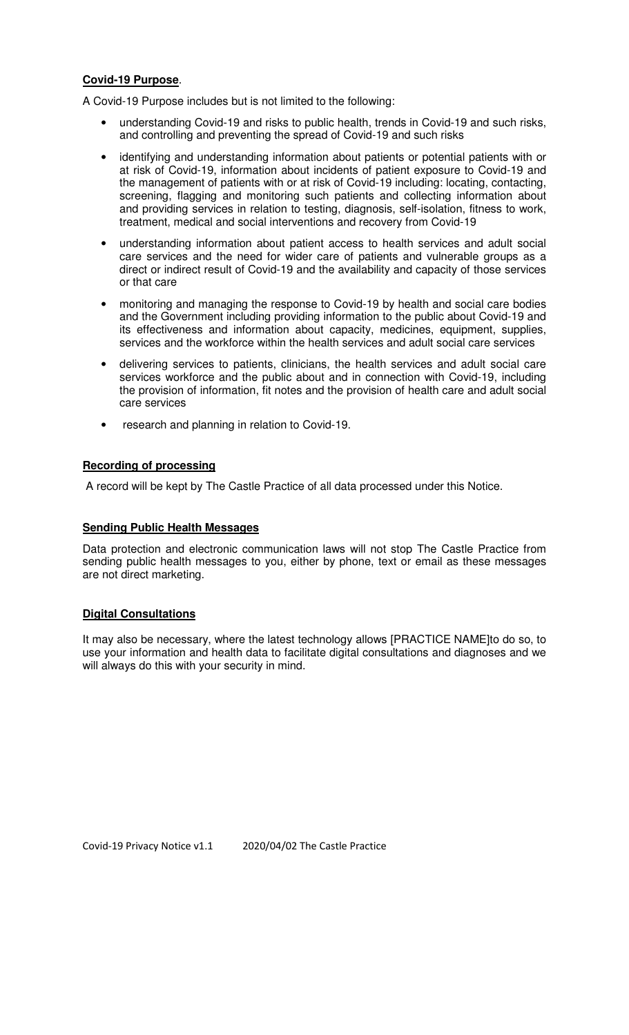#### **Covid-19 Purpose**.

A Covid-19 Purpose includes but is not limited to the following:

- understanding Covid-19 and risks to public health, trends in Covid-19 and such risks, and controlling and preventing the spread of Covid-19 and such risks
- identifying and understanding information about patients or potential patients with or at risk of Covid-19, information about incidents of patient exposure to Covid-19 and the management of patients with or at risk of Covid-19 including: locating, contacting, screening, flagging and monitoring such patients and collecting information about and providing services in relation to testing, diagnosis, self-isolation, fitness to work, treatment, medical and social interventions and recovery from Covid-19
- understanding information about patient access to health services and adult social care services and the need for wider care of patients and vulnerable groups as a direct or indirect result of Covid-19 and the availability and capacity of those services or that care
- monitoring and managing the response to Covid-19 by health and social care bodies and the Government including providing information to the public about Covid-19 and its effectiveness and information about capacity, medicines, equipment, supplies, services and the workforce within the health services and adult social care services
- delivering services to patients, clinicians, the health services and adult social care services workforce and the public about and in connection with Covid-19, including the provision of information, fit notes and the provision of health care and adult social care services
- research and planning in relation to Covid-19.

### **Recording of processing**

A record will be kept by The Castle Practice of all data processed under this Notice.

### **Sending Public Health Messages**

Data protection and electronic communication laws will not stop The Castle Practice from sending public health messages to you, either by phone, text or email as these messages are not direct marketing.

### **Digital Consultations**

It may also be necessary, where the latest technology allows [PRACTICE NAME]to do so, to use your information and health data to facilitate digital consultations and diagnoses and we will always do this with your security in mind.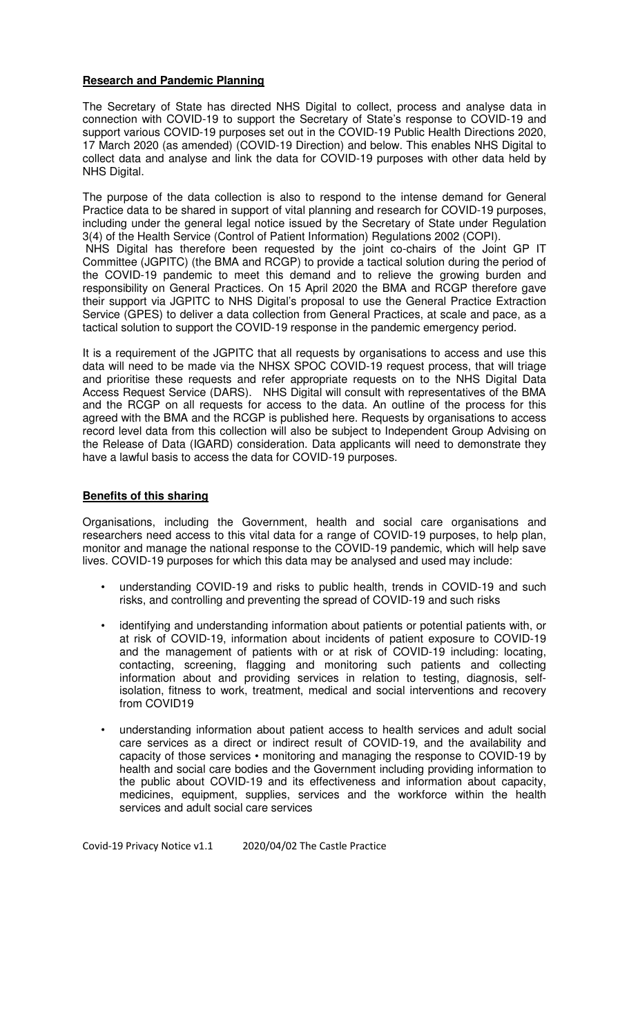### **Research and Pandemic Planning**

The Secretary of State has directed NHS Digital to collect, process and analyse data in connection with COVID-19 to support the Secretary of State's response to COVID-19 and support various COVID-19 purposes set out in the COVID-19 Public Health Directions 2020, 17 March 2020 (as amended) (COVID-19 Direction) and below. This enables NHS Digital to collect data and analyse and link the data for COVID-19 purposes with other data held by NHS Digital.

The purpose of the data collection is also to respond to the intense demand for General Practice data to be shared in support of vital planning and research for COVID-19 purposes, including under the general legal notice issued by the Secretary of State under Regulation 3(4) of the Health Service (Control of Patient Information) Regulations 2002 (COPI). NHS Digital has therefore been requested by the joint co-chairs of the Joint GP IT Committee (JGPITC) (the BMA and RCGP) to provide a tactical solution during the period of the COVID-19 pandemic to meet this demand and to relieve the growing burden and responsibility on General Practices. On 15 April 2020 the BMA and RCGP therefore gave their support via JGPITC to NHS Digital's proposal to use the General Practice Extraction Service (GPES) to deliver a data collection from General Practices, at scale and pace, as a tactical solution to support the COVID-19 response in the pandemic emergency period.

It is a requirement of the JGPITC that all requests by organisations to access and use this data will need to be made via the NHSX SPOC COVID-19 request process, that will triage and prioritise these requests and refer appropriate requests on to the NHS Digital Data Access Request Service (DARS). NHS Digital will consult with representatives of the BMA and the RCGP on all requests for access to the data. An outline of the process for this agreed with the BMA and the RCGP is published here. Requests by organisations to access record level data from this collection will also be subject to Independent Group Advising on the Release of Data (IGARD) consideration. Data applicants will need to demonstrate they have a lawful basis to access the data for COVID-19 purposes.

### **Benefits of this sharing**

Organisations, including the Government, health and social care organisations and researchers need access to this vital data for a range of COVID-19 purposes, to help plan, monitor and manage the national response to the COVID-19 pandemic, which will help save lives. COVID-19 purposes for which this data may be analysed and used may include:

- understanding COVID-19 and risks to public health, trends in COVID-19 and such risks, and controlling and preventing the spread of COVID-19 and such risks
- identifying and understanding information about patients or potential patients with, or at risk of COVID-19, information about incidents of patient exposure to COVID-19 and the management of patients with or at risk of COVID-19 including: locating, contacting, screening, flagging and monitoring such patients and collecting information about and providing services in relation to testing, diagnosis, selfisolation, fitness to work, treatment, medical and social interventions and recovery from COVID19
- understanding information about patient access to health services and adult social care services as a direct or indirect result of COVID-19, and the availability and capacity of those services • monitoring and managing the response to COVID-19 by health and social care bodies and the Government including providing information to the public about COVID-19 and its effectiveness and information about capacity, medicines, equipment, supplies, services and the workforce within the health services and adult social care services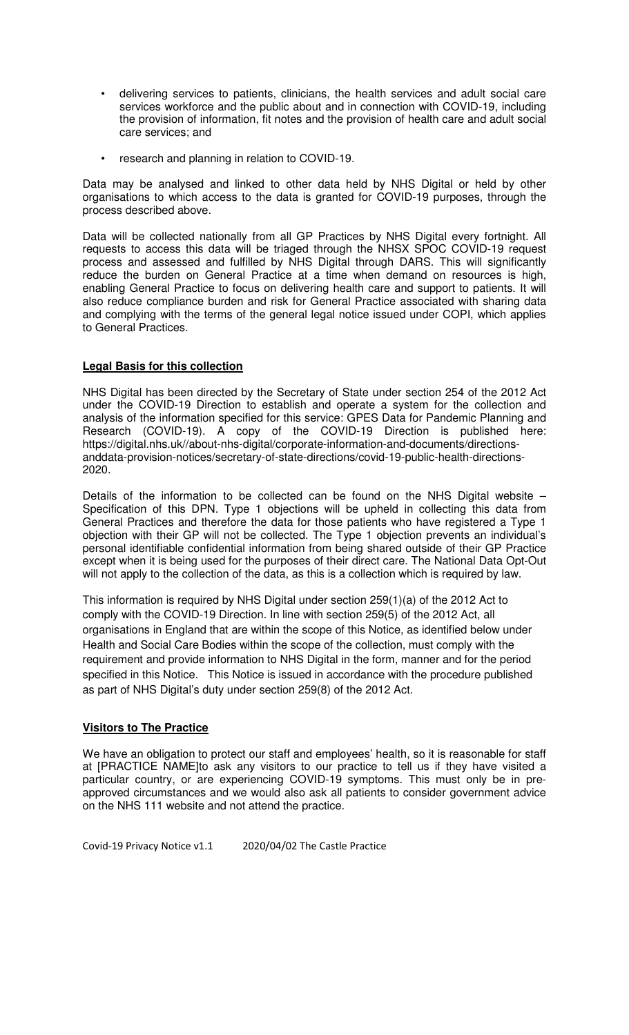- delivering services to patients, clinicians, the health services and adult social care services workforce and the public about and in connection with COVID-19, including the provision of information, fit notes and the provision of health care and adult social care services; and
- research and planning in relation to COVID-19.

Data may be analysed and linked to other data held by NHS Digital or held by other organisations to which access to the data is granted for COVID-19 purposes, through the process described above.

Data will be collected nationally from all GP Practices by NHS Digital every fortnight. All requests to access this data will be triaged through the NHSX SPOC COVID-19 request process and assessed and fulfilled by NHS Digital through DARS. This will significantly reduce the burden on General Practice at a time when demand on resources is high, enabling General Practice to focus on delivering health care and support to patients. It will also reduce compliance burden and risk for General Practice associated with sharing data and complying with the terms of the general legal notice issued under COPI, which applies to General Practices.

# **Legal Basis for this collection**

NHS Digital has been directed by the Secretary of State under section 254 of the 2012 Act under the COVID-19 Direction to establish and operate a system for the collection and analysis of the information specified for this service: GPES Data for Pandemic Planning and Research (COVID-19). A copy of the COVID-19 Direction is published here: https://digital.nhs.uk//about-nhs-digital/corporate-information-and-documents/directionsanddata-provision-notices/secretary-of-state-directions/covid-19-public-health-directions-2020.

Details of the information to be collected can be found on the NHS Digital website – Specification of this DPN. Type 1 objections will be upheld in collecting this data from General Practices and therefore the data for those patients who have registered a Type 1 objection with their GP will not be collected. The Type 1 objection prevents an individual's personal identifiable confidential information from being shared outside of their GP Practice except when it is being used for the purposes of their direct care. The National Data Opt-Out will not apply to the collection of the data, as this is a collection which is required by law.

This information is required by NHS Digital under section 259(1)(a) of the 2012 Act to comply with the COVID-19 Direction. In line with section 259(5) of the 2012 Act, all organisations in England that are within the scope of this Notice, as identified below under Health and Social Care Bodies within the scope of the collection, must comply with the requirement and provide information to NHS Digital in the form, manner and for the period specified in this Notice. This Notice is issued in accordance with the procedure published as part of NHS Digital's duty under section 259(8) of the 2012 Act.

# **Visitors to The Practice**

We have an obligation to protect our staff and employees' health, so it is reasonable for staff at [PRACTICE NAME]to ask any visitors to our practice to tell us if they have visited a particular country, or are experiencing COVID-19 symptoms. This must only be in preapproved circumstances and we would also ask all patients to consider government advice on the NHS 111 website and not attend the practice.